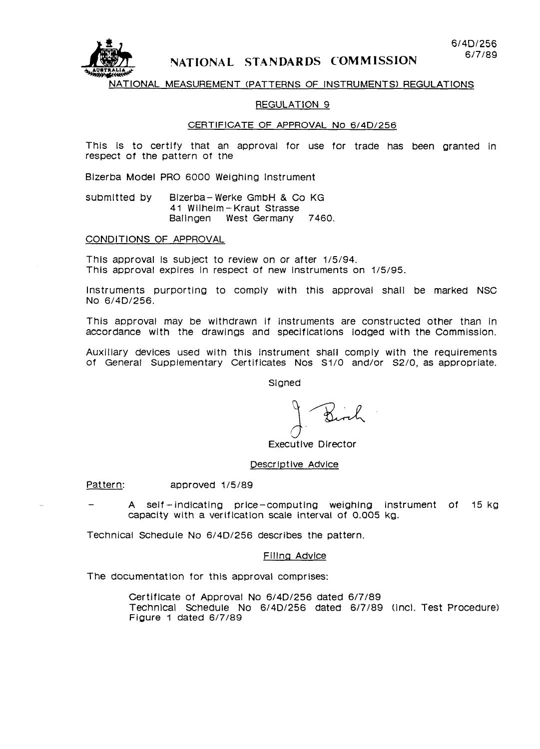

## NATIONAL STANDARDS COMMISSION

### NATIONAL MEASUREMENT (PATTERNS OF INSTRUMENTS) REGULATIONS

### REGULATION 9

## CERTIFICATE OF APPROVAL No 6/4D/256

This is to certify that an approval for use for trade has been granted in respect of the pattern of the

Bizerba Model PRO 6000 Weighing Instrument

submitted by Bizerba-Werke GmbH & Co KG 41 Wilhelm-Kraut Strasse Balingen West Germany 7460.

CONDITIONS OF APPROVAL

This approval Is subject to review on or after 1/5/94. This approval expires in respect of new Instruments on 1/5/95

Instruments purporting to comply with this approval shall be marked NSC No 6/4D/256.

This approval may be withdrawn if instruments are constructed other than in accordance wlth the drawings and specifications lodged with the Commission.

Auxiliary devices used with this Instrument shall comply with the requirements of General Supplementary Certificates Nos Si/O and/or S2/0, as appropriate.

Signed

 $\smash{\smash{\cup}}$  $\overline{\mathcal{Z}}$ 

Executive Director

## Descriptive Advice

Pattern: approved 1/5/89

A self-indicating price-computing weighing instrument of 15 kg capacity with a verlficatlon scale interval of 0.005 kg.

Technical Schedule No 6/4D/256 describes the pattern.

### Flllnq Advice

The documentation for this approval comprises:

Certificate of Approval No 6/4D/256 dated 6/7/89 Technlcal Schedule No 6/4D/256 dated 6/7/89 (Incl. Test Procedure) Figure 1 dated 6/7/89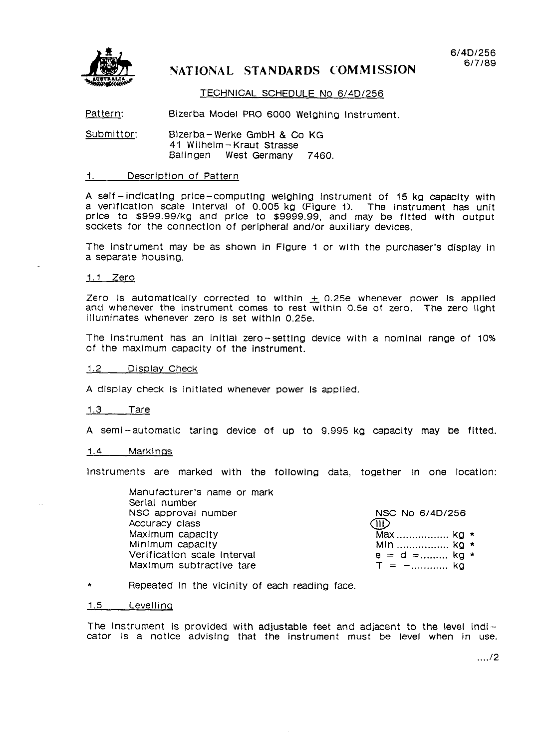

# NATIONAL STANDARDS COMMISSION

### TECHNICAL SCHEDULE No 6/4D/256

Pattern: Bizerba Model PRO 6000 Weighing Instrument.

Submittor: Bizerba-Werke GmbH & Co KG 41 Wilhelm-Kraut Strasse Baiingen West Germany 7460.

## 1. Description of Pattern

A self-indicating price-computing weighing Instrument of 15 kg capacity with a verification scale Interval of 0.005 kg (Figure 1). The instrument has unit price to \$999.99/kg and price to \$9999.99, and may be fltted wlth output sockets for the connectlon of peripheral and/or auxiliary devices.

The instrument may be as shown in Figure 1 or with the purchaser's display In a separate housing.

1.1 Zero

Zero is automatically corrected to within  $\pm$  0.25e whenever power is applied and whenever the Instrument comes to rest within 0.5e of zero. The zero IlQht illuminates whenever zero is set within 0.25e.

The Instrument has an initial zero-setting device with a nominal range of 10% of the maximum capacity of the instrument.

#### 1.2 Display Check

A display check Is initlated whenever power Is applied.

1.3 Tare

A semi-automatic taring device of up to 9.995 kg capacity may be fitted.

#### 1.4 Markings

Instruments are marked with the following data, together in one location:

Manufacturer's name or mark Serial number NSC approval number NSC No 6/4D/256 Accuracy class and the contract of the contract of the contract of the contract of the contract of the contract of the contract of the contract of the contract of the contract of the contract of the contract of the contrac Maximum capacity **Max** ................... kg \* Minimum capacity **Minimum capacity Minimum capacity** Veriflcatlon scale Interval e=d= . . . . . . . . . kg \* Maximum subtractive tare

## \* Repeated in the vicinity of each reading face.

#### 1.5 Levelling

The Instrument is provided with adjustable feet and adjacent to the level lndicator is a notlce advislng that the instrument must be level when in use.

 $\dots/2$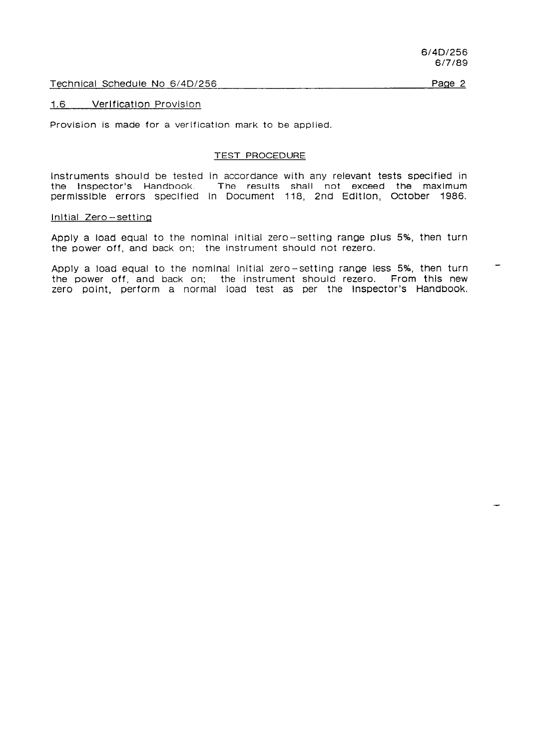Technical Schedule No 6/4D/256

Paqe 2

#### 1.6 Verlficatlon Provision

Provision is made for a verification mark to be applied.

#### TEST PROCEDURE

instruments should be tested In accordance with any relevant tests specified in the Inspector's Handbook. The results shall not exceed the maximum permisslble errors speclfled In Document 116, 2nd Edltlon, October 1986.

#### lnltial Zero-setting

Apply a load equal to the nominal initial zero-setting range plus 5%, then turn the power off, and back on; the instrument should not rezero.

Apply a load equal to the nominal initial zero-setting range less 5%, then turn the power off, and back on; the instrument should rezero. From this new zero point, perform a normal load test as per the Inspector's Handbook.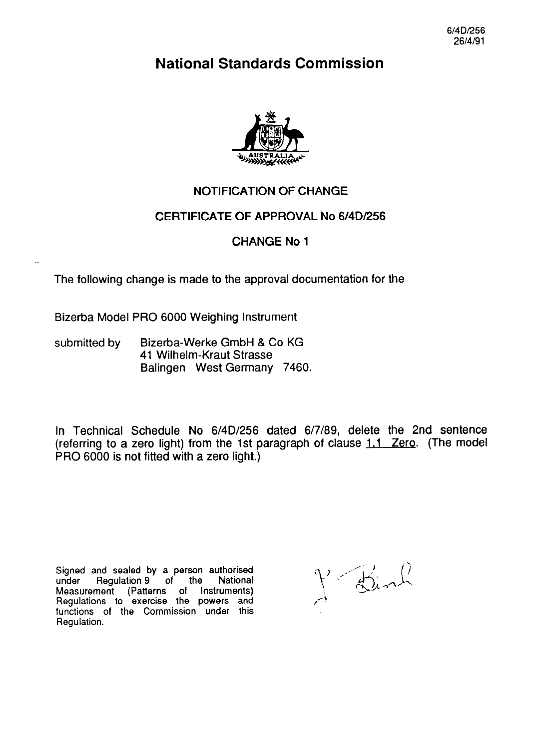**National Standards Commission** 



# NOTIFICATION OF CHANGE

# CERTIFICATE OF APPROVAL No 6/4D/256

# CHANGE No 1

The following change is made to the approval documentation for the

Bizerba Model PRO 6000 Weighing Instrument

submitted by Bizerba-Werke GmbH & Co KG 41 Wilhelm-Kraut Strasse Balingen West Germany 7460.

In Technical Schedule No 6/4D/256 dated 6/7/89, delete the 2nd sentence (referring to a zero light) from the 1st paragraph of clause  $1.1$  Zero. (The model PRO 6000 is not fitted with a zero light.)

Signed and sealed by a person authorised<br>under Regulation 9 of the National Regulation 9 of the Measurement (Patterns of Instruments) Regulations to exercise the powers and functions of the Commission under this Regulation.

J Binh